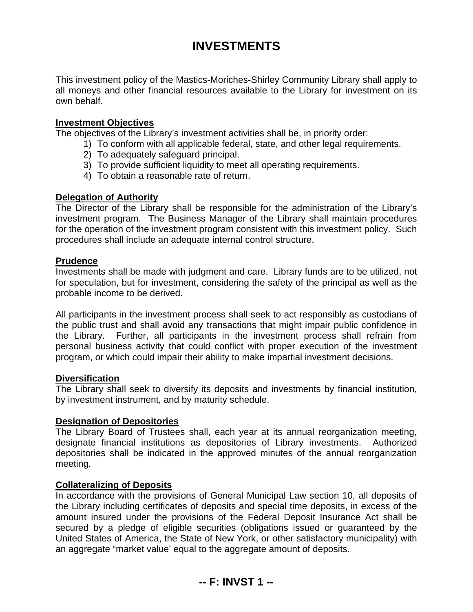# **INVESTMENTS**

This investment policy of the Mastics-Moriches-Shirley Community Library shall apply to all moneys and other financial resources available to the Library for investment on its own behalf.

#### **Investment Objectives**

The objectives of the Library's investment activities shall be, in priority order:

- 1) To conform with all applicable federal, state, and other legal requirements.
- 2) To adequately safeguard principal.
- 3) To provide sufficient liquidity to meet all operating requirements.
- 4) To obtain a reasonable rate of return.

# **Delegation of Authority**

The Director of the Library shall be responsible for the administration of the Library's investment program. The Business Manager of the Library shall maintain procedures for the operation of the investment program consistent with this investment policy. Such procedures shall include an adequate internal control structure.

# **Prudence**

Investments shall be made with judgment and care. Library funds are to be utilized, not for speculation, but for investment, considering the safety of the principal as well as the probable income to be derived.

All participants in the investment process shall seek to act responsibly as custodians of the public trust and shall avoid any transactions that might impair public confidence in the Library. Further, all participants in the investment process shall refrain from personal business activity that could conflict with proper execution of the investment program, or which could impair their ability to make impartial investment decisions.

#### **Diversification**

The Library shall seek to diversify its deposits and investments by financial institution, by investment instrument, and by maturity schedule.

#### **Designation of Depositories**

The Library Board of Trustees shall, each year at its annual reorganization meeting, designate financial institutions as depositories of Library investments. Authorized depositories shall be indicated in the approved minutes of the annual reorganization meeting.

# **Collateralizing of Deposits**

In accordance with the provisions of General Municipal Law section 10, all deposits of the Library including certificates of deposits and special time deposits, in excess of the amount insured under the provisions of the Federal Deposit Insurance Act shall be secured by a pledge of eligible securities (obligations issued or guaranteed by the United States of America, the State of New York, or other satisfactory municipality) with an aggregate "market value' equal to the aggregate amount of deposits.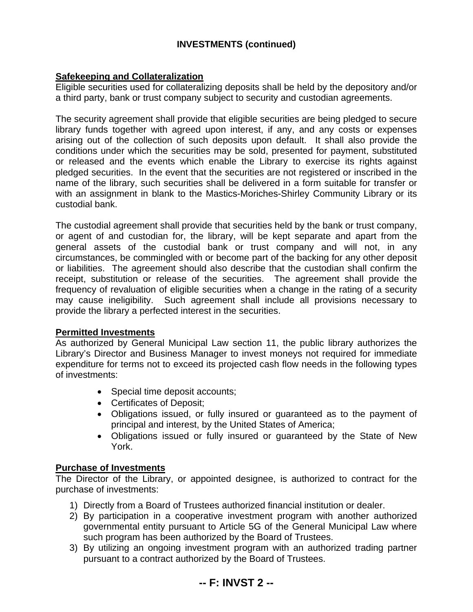# **INVESTMENTS (continued)**

# **Safekeeping and Collateralization**

Eligible securities used for collateralizing deposits shall be held by the depository and/or a third party, bank or trust company subject to security and custodian agreements.

The security agreement shall provide that eligible securities are being pledged to secure library funds together with agreed upon interest, if any, and any costs or expenses arising out of the collection of such deposits upon default. It shall also provide the conditions under which the securities may be sold, presented for payment, substituted or released and the events which enable the Library to exercise its rights against pledged securities. In the event that the securities are not registered or inscribed in the name of the library, such securities shall be delivered in a form suitable for transfer or with an assignment in blank to the Mastics-Moriches-Shirley Community Library or its custodial bank.

The custodial agreement shall provide that securities held by the bank or trust company, or agent of and custodian for, the library, will be kept separate and apart from the general assets of the custodial bank or trust company and will not, in any circumstances, be commingled with or become part of the backing for any other deposit or liabilities. The agreement should also describe that the custodian shall confirm the receipt, substitution or release of the securities. The agreement shall provide the frequency of revaluation of eligible securities when a change in the rating of a security may cause ineligibility. Such agreement shall include all provisions necessary to provide the library a perfected interest in the securities.

#### **Permitted Investments**

As authorized by General Municipal Law section 11, the public library authorizes the Library's Director and Business Manager to invest moneys not required for immediate expenditure for terms not to exceed its projected cash flow needs in the following types of investments:

- Special time deposit accounts;
- Certificates of Deposit;
- Obligations issued, or fully insured or guaranteed as to the payment of principal and interest, by the United States of America;
- Obligations issued or fully insured or guaranteed by the State of New York.

#### **Purchase of Investments**

The Director of the Library, or appointed designee, is authorized to contract for the purchase of investments:

- 1) Directly from a Board of Trustees authorized financial institution or dealer.
- 2) By participation in a cooperative investment program with another authorized governmental entity pursuant to Article 5G of the General Municipal Law where such program has been authorized by the Board of Trustees.
- 3) By utilizing an ongoing investment program with an authorized trading partner pursuant to a contract authorized by the Board of Trustees.